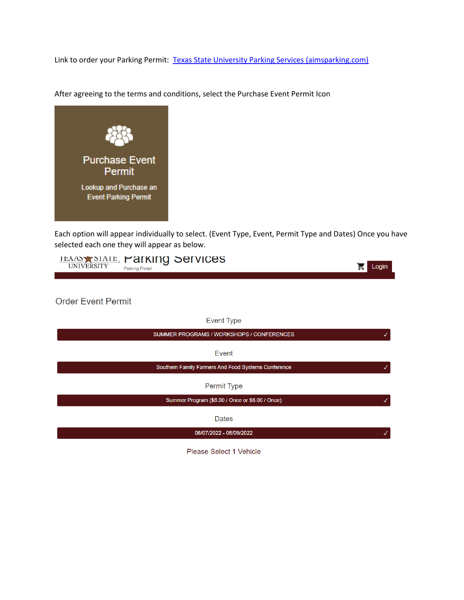Link to order your Parking Permit: [Texas State University Parking Services \(aimsparking.com\)](https://txstate.aimsparking.com/)



After agreeing to the terms and conditions, select the Purchase Event Permit Icon

Each option will appear individually to select. (Event Type, Event, Permit Type and Dates) Once you have selected each one they will appear as below.

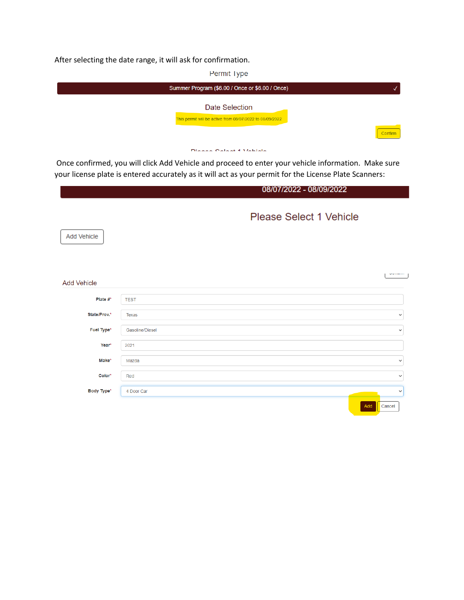After selecting the date range, it will ask for confirmation.



Once confirmed, you will click Add Vehicle and proceed to enter your vehicle information. Make sure your license plate is entered accurately as it will act as your permit for the License Plate Scanners:

|                    |                 | 08/07/2022 - 08/09/2022 |               |
|--------------------|-----------------|-------------------------|---------------|
| Add Vehicle        |                 | Please Select 1 Vehicle |               |
| <b>Add Vehicle</b> |                 |                         | <b>Symmon</b> |
| Plate $#^k$        | <b>TEST</b>     |                         |               |
| State/Prov.*       | Texas           |                         | $\checkmark$  |
| Fuel Type*         | Gasoline/Diesel |                         | $\checkmark$  |
| Year*              | 2021            |                         |               |
| Make*              | Mazda           |                         | $\checkmark$  |
| Color*             | Red             |                         | $\checkmark$  |
| Body Type*         | 4 Door Car      |                         | $\checkmark$  |
|                    |                 | Add<br>Cancel           |               |